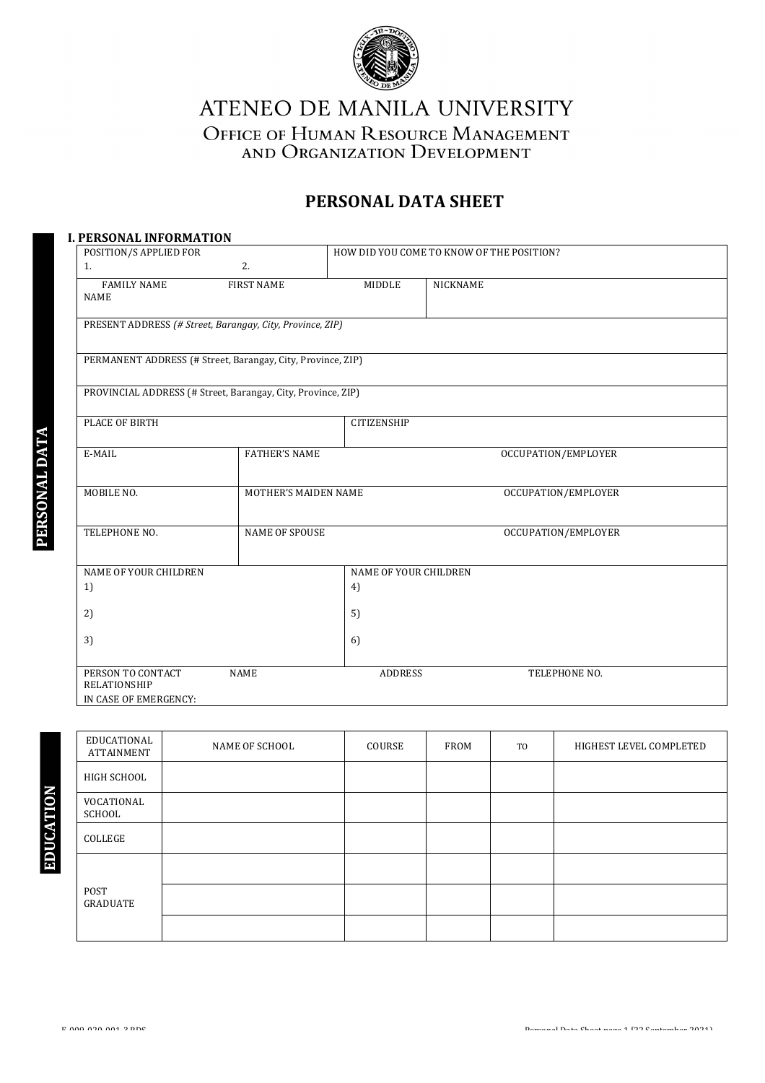

ATENEO DE MANILA UNIVERSITY OFFICE OF HUMAN RESOURCE MANAGEMENT AND ORGANIZATION DEVELOPMENT

# **PERSONAL DATA SHEET**

| POSITION/S APPLIED FOR                                       |                             |                       | HOW DID YOU COME TO KNOW OF THE POSITION? |
|--------------------------------------------------------------|-----------------------------|-----------------------|-------------------------------------------|
| 1.                                                           | 2.                          |                       |                                           |
| <b>FAMILY NAME</b><br><b>NAME</b>                            | <b>FIRST NAME</b>           | <b>MIDDLE</b>         | <b>NICKNAME</b>                           |
| PRESENT ADDRESS (# Street, Barangay, City, Province, ZIP)    |                             |                       |                                           |
| PERMANENT ADDRESS (# Street, Barangay, City, Province, ZIP)  |                             |                       |                                           |
| PROVINCIAL ADDRESS (# Street, Barangay, City, Province, ZIP) |                             |                       |                                           |
| PLACE OF BIRTH                                               |                             | <b>CITIZENSHIP</b>    |                                           |
| E-MAIL                                                       | <b>FATHER'S NAME</b>        |                       | OCCUPATION/EMPLOYER                       |
| MOBILE NO.                                                   | <b>MOTHER'S MAIDEN NAME</b> |                       | OCCUPATION/EMPLOYER                       |
| TELEPHONE NO.                                                | <b>NAME OF SPOUSE</b>       |                       | OCCUPATION/EMPLOYER                       |
| NAME OF YOUR CHILDREN                                        |                             | NAME OF YOUR CHILDREN |                                           |
| 1)                                                           |                             | 4)                    |                                           |
| 2)                                                           |                             | 5)                    |                                           |
| 3)                                                           |                             | 6)                    |                                           |
| PERSON TO CONTACT<br>RELATIONSHIP                            | <b>NAME</b>                 | <b>ADDRESS</b>        | TELEPHONE NO.                             |

| EDUCATIONAL<br>ATTAINMENT | NAME OF SCHOOL | COURSE | FROM | TO | HIGHEST LEVEL COMPLETED |
|---------------------------|----------------|--------|------|----|-------------------------|
| HIGH SCHOOL               |                |        |      |    |                         |
| VOCATIONAL<br>SCHOOL      |                |        |      |    |                         |
| COLLEGE                   |                |        |      |    |                         |
|                           |                |        |      |    |                         |
| POST<br>GRADUATE          |                |        |      |    |                         |
|                           |                |        |      |    |                         |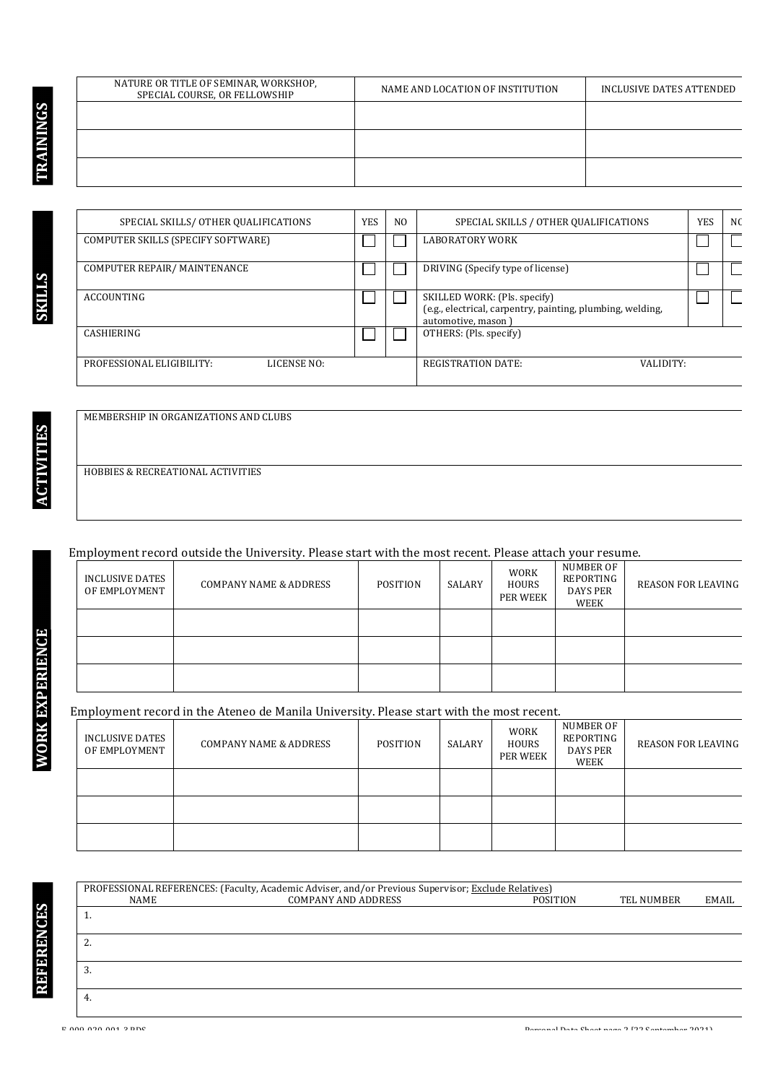| NATURE OR TITLE OF SEMINAR, WORKSHOP,<br>SPECIAL COURSE, OR FELLOWSHIP | NAME AND LOCATION OF INSTITUTION | INCLUSIVE DATES ATTENDED |
|------------------------------------------------------------------------|----------------------------------|--------------------------|
|                                                                        |                                  |                          |
|                                                                        |                                  |                          |
|                                                                        |                                  |                          |

**ACTIVITIES**

**ACTIVITIES** 

**WORK EXPERIENCE**

**WORK EXPERIENCE** 

**S**

|                   | SPECIAL SKILLS/ OTHER QUALIFICATIONS |             | <b>YES</b> | N <sub>0</sub> | SPECIAL SKILLS / OTHER QUALIFICATIONS                                                                            |  | N <sub>0</sub> |
|-------------------|--------------------------------------|-------------|------------|----------------|------------------------------------------------------------------------------------------------------------------|--|----------------|
|                   | COMPUTER SKILLS (SPECIFY SOFTWARE)   |             |            |                | <b>LABORATORY WORK</b>                                                                                           |  |                |
|                   | COMPUTER REPAIR/MAINTENANCE          |             |            |                | DRIVING (Specify type of license)                                                                                |  |                |
| <b>ACCOUNTING</b> |                                      |             |            |                | SKILLED WORK: (Pls. specify)<br>(e.g., electrical, carpentry, painting, plumbing, welding,<br>automotive, mason) |  |                |
| CASHIERING        |                                      |             |            |                | OTHERS: (Pls. specify)                                                                                           |  |                |
|                   | PROFESSIONAL ELIGIBILITY:            | LICENSE NO: |            |                | <b>REGISTRATION DATE:</b><br>VALIDITY:                                                                           |  |                |

MEMBERSHIP IN ORGANIZATIONS AND CLUBS

HOBBIES & RECREATIONAL ACTIVITIES

### Employment record outside the University. Please start with the most recent. Please attach your resume.

| INCLUSIVE DATES<br>OF EMPLOYMENT | COMPANY NAME & ADDRESS | <b>POSITION</b> | SALARY | <b>WORK</b><br>HOURS<br>PER WEEK | NUMBER OF<br>REPORTING<br>DAYS PER<br>WEEK | <b>REASON FOR LEAVING</b> |
|----------------------------------|------------------------|-----------------|--------|----------------------------------|--------------------------------------------|---------------------------|
|                                  |                        |                 |        |                                  |                                            |                           |
|                                  |                        |                 |        |                                  |                                            |                           |
|                                  |                        |                 |        |                                  |                                            |                           |

#### Employment record in the Ateneo de Manila University. Please start with the most recent.

PROFESSIONAL REFERENCES: (Faculty, Academic Adviser, and/or Previous Supervisor; Exclude Relatives)<br>COMPANY AND ADDRESS POSITION

| INCLUSIVE DATES<br>OF EMPLOYMENT | <b>COMPANY NAME &amp; ADDRESS</b> | POSITION | SALARY | <b>WORK</b><br><b>HOURS</b><br>PER WEEK | NUMBER OF<br>REPORTING<br><b>DAYS PER</b><br>WEEK | <b>REASON FOR LEAVING</b> |
|----------------------------------|-----------------------------------|----------|--------|-----------------------------------------|---------------------------------------------------|---------------------------|
|                                  |                                   |          |        |                                         |                                                   |                           |
|                                  |                                   |          |        |                                         |                                                   |                           |
|                                  |                                   |          |        |                                         |                                                   |                           |

 NAME COMPANY AND ADDRESS POSITION TEL NUMBER EMAIL

1. 

2. 

3. 

4.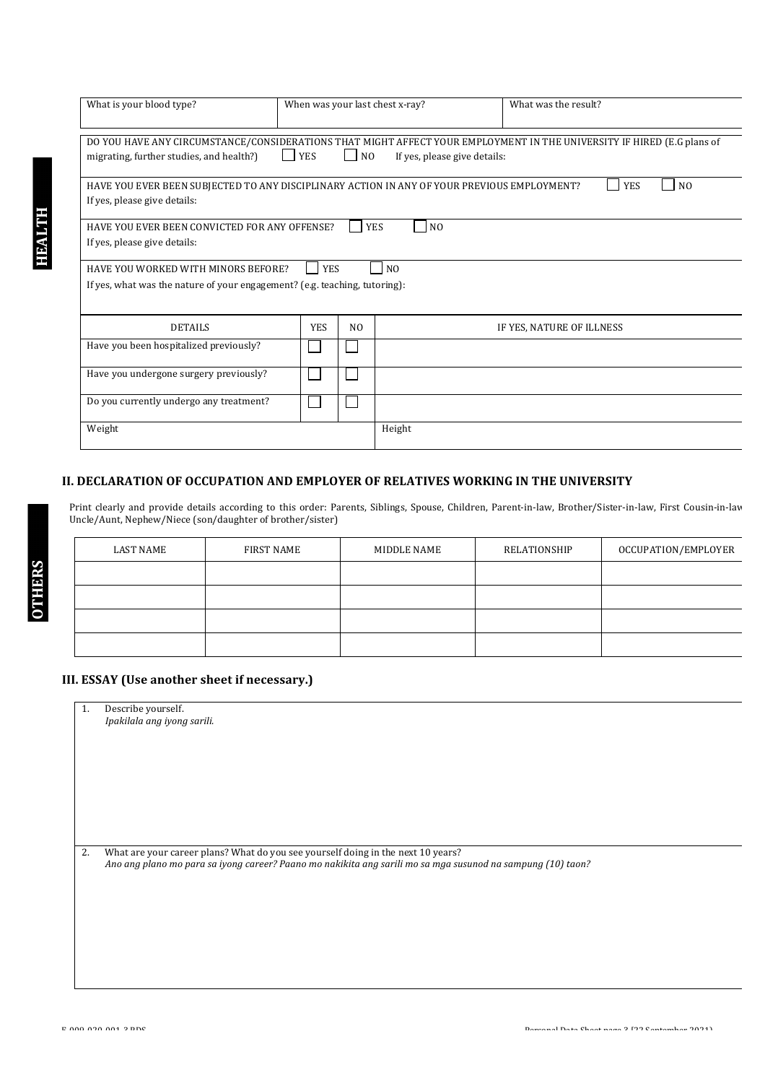| What is your blood type?                                                                    |            |                    | When was your last chest x-ray? | What was the result?                                                                                                   |
|---------------------------------------------------------------------------------------------|------------|--------------------|---------------------------------|------------------------------------------------------------------------------------------------------------------------|
|                                                                                             |            |                    |                                 |                                                                                                                        |
| migrating, further studies, and health?)                                                    | <b>YES</b> | $\vert$ $\vert$ NO | If yes, please give details:    | DO YOU HAVE ANY CIRCUMSTANCE/CONSIDERATIONS THAT MIGHT AFFECT YOUR EMPLOYMENT IN THE UNIVERSITY IF HIRED (E.G plans of |
|                                                                                             |            |                    |                                 |                                                                                                                        |
| HAVE YOU EVER BEEN SUBJECTED TO ANY DISCIPLINARY ACTION IN ANY OF YOUR PREVIOUS EMPLOYMENT? |            |                    |                                 | <b>YES</b><br>N <sub>O</sub>                                                                                           |
| If yes, please give details:                                                                |            |                    |                                 |                                                                                                                        |
| HAVE YOU EVER BEEN CONVICTED FOR ANY OFFENSE?                                               |            |                    | N <sub>O</sub><br><b>YES</b>    |                                                                                                                        |
| If yes, please give details:                                                                |            |                    |                                 |                                                                                                                        |
| HAVE YOU WORKED WITH MINORS BEFORE?                                                         | <b>YES</b> |                    | N <sub>0</sub>                  |                                                                                                                        |
| If yes, what was the nature of your engagement? (e.g. teaching, tutoring):                  |            |                    |                                 |                                                                                                                        |
|                                                                                             |            |                    |                                 |                                                                                                                        |
| <b>DETAILS</b>                                                                              | <b>YES</b> | N <sub>O</sub>     |                                 | IF YES, NATURE OF ILLNESS                                                                                              |
| Have you been hospitalized previously?                                                      |            |                    |                                 |                                                                                                                        |
| Have you undergone surgery previously?                                                      |            |                    |                                 |                                                                                                                        |
| Do you currently undergo any treatment?                                                     |            |                    |                                 |                                                                                                                        |
|                                                                                             |            |                    |                                 |                                                                                                                        |
| Weight                                                                                      |            |                    | Height                          |                                                                                                                        |
|                                                                                             |            |                    |                                 |                                                                                                                        |

#### **II. DECLARATION OF OCCUPATION AND EMPLOYER OF RELATIVES WORKING IN THE UNIVERSITY**

Print clearly and provide details according to this order: Parents, Siblings, Spouse, Children, Parent-in-law, Brother/Sister-in-law, First Cousin-in-law Uncle/Aunt, Nephew/Niece (son/daughter of brother/sister)

| LAST NAME | FIRST NAME | MIDDLE NAME | RELATIONSHIP | OCCUPATION/EMPLOYER |
|-----------|------------|-------------|--------------|---------------------|
|           |            |             |              |                     |
|           |            |             |              |                     |
|           |            |             |              |                     |
|           |            |             |              |                     |

## **III.** ESSAY (Use another sheet if necessary.)

1. Describe yourself. *Ipakilala ang iyong sarili.*

2. What are your career plans? What do you see yourself doing in the next 10 years? Ano ang plano mo para sa iyong career? Paano mo nakikita ang sarili mo sa mga susunod na sampung (10) taon?